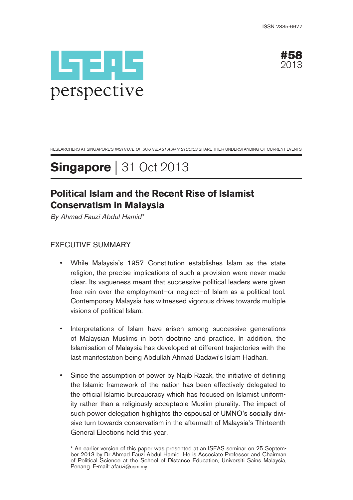



RESEARCHERS AT SINGAPORE'S INSTITUTE OF SOUTHEAST ASIAN STUDIES SHARE THEIR UNDERSTANDING OF CURRENT EVENTS

# **Singapore** | 31 Oct 2013

# **Political Islam and the Recent Rise of Islamist Conservatism in Malaysia**

By Ahmad Fauzi Abdul Hamid\*

### EXECUTIVE SUMMARY

- While Malaysia's 1957 Constitution establishes Islam as the state religion, the precise implications of such a provision were never made clear. Its vagueness meant that successive political leaders were given free rein over the employment—or neglect—of Islam as a political tool. Contemporary Malaysia has witnessed vigorous drives towards multiple visions of political Islam.
- Interpretations of Islam have arisen among successive generations of Malaysian Muslims in both doctrine and practice. In addition, the Islamisation of Malaysia has developed at different trajectories with the last manifestation being Abdullah Ahmad Badawi's Islam Hadhari.
- Since the assumption of power by Najib Razak, the initiative of defining the Islamic framework of the nation has been effectively delegated to the official Islamic bureaucracy which has focused on Islamist uniformity rather than a religiously acceptable Muslim plurality. The impact of such power delegation highlights the espousal of UMNO's socially divisive turn towards conservatism in the aftermath of Malaysia's Thirteenth General Elections held this year.

<sup>\*</sup> An earlier version of this paper was presented at an ISEAS seminar on 25 September 2013 by Dr Ahmad Fauzi Abdul Hamid. He is Associate Professor and Chairman of Political Science at the School of Distance Education, Universiti Sains Malaysia, Penang. E-mail: afauzi@usm.my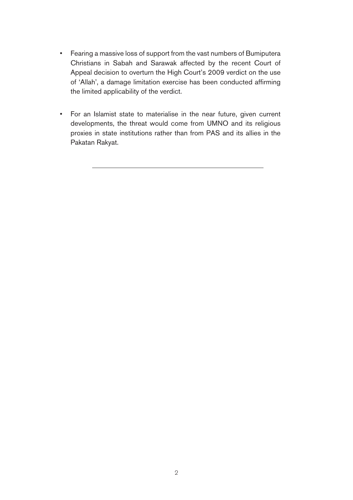- Fearing a massive loss of support from the vast numbers of Bumiputera Christians in Sabah and Sarawak affected by the recent Court of Appeal decision to overturn the High Court's 2009 verdict on the use of 'Allah', a damage limitation exercise has been conducted affirming the limited applicability of the verdict.
- For an Islamist state to materialise in the near future, given current developments, the threat would come from UMNO and its religious proxies in state institutions rather than from PAS and its allies in the Pakatan Rakyat.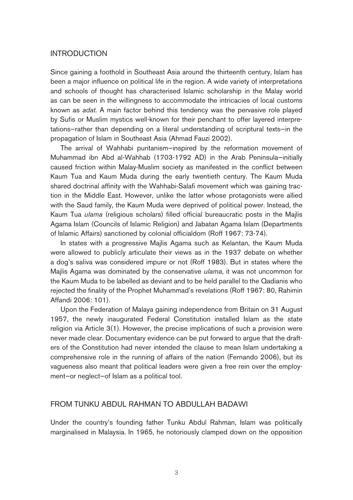#### INTRODUCTION

Since gaining a foothold in Southeast Asia around the thirteenth century, Islam has been a major influence on political life in the region. A wide variety of interpretations and schools of thought has characterised Islamic scholarship in the Malay world as can be seen in the willingness to accommodate the intricacies of local customs known as adat. A main factor behind this tendency was the pervasive role played by Sufis or Muslim mystics well-known for their penchant to offer layered interpretations—rather than depending on a literal understanding of scriptural texts—in the propagation of Islam in Southeast Asia (Ahmad Fauzi 2002).

The arrival of Wahhabi puritanism—inspired by the reformation movement of Muhammad ibn Abd al-Wahhab (1703-1792 AD) in the Arab Peninsula—initially caused friction within Malay-Muslim society as manifested in the conflict between Kaum Tua and Kaum Muda during the early twentieth century. The Kaum Muda shared doctrinal affinity with the Wahhabi-Salafi movement which was gaining traction in the Middle East. However, unlike the latter whose protagonists were allied with the Saud family, the Kaum Muda were deprived of political power. Instead, the Kaum Tua *ulama* (religious scholars) filled official bureaucratic posts in the Majlis Agama Islam (Councils of Islamic Religion) and Jabatan Agama Islam (Departments of Islamic Affairs) sanctioned by colonial officialdom (Roff 1967: 73-74).

In states with a progressive Majlis Agama such as Kelantan, the Kaum Muda were allowed to publicly articulate their views as in the 1937 debate on whether a dog's saliva was considered impure or not (Roff 1983). But in states where the Majlis Agama was dominated by the conservative ulama, it was not uncommon for the Kaum Muda to be labelled as deviant and to be held parallel to the Qadianis who rejected the finality of the Prophet Muhammad's revelations (Roff 1967: 80, Rahimin Affandi 2006: 101).

Upon the Federation of Malaya gaining independence from Britain on 31 August 1957, the newly inaugurated Federal Constitution installed Islam as the state religion via Article 3(1). However, the precise implications of such a provision were never made clear. Documentary evidence can be put forward to argue that the drafters of the Constitution had never intended the clause to mean Islam undertaking a comprehensive role in the running of affairs of the nation (Fernando 2006), but its vagueness also meant that political leaders were given a free rein over the employment—or neglect—of Islam as a political tool.

#### FROM TUNKU ABDUL RAHMAN TO ABDULLAH BADAWI

Under the country's founding father Tunku Abdul Rahman, Islam was politically marginalised in Malaysia. In 1965, he notoriously clamped down on the opposition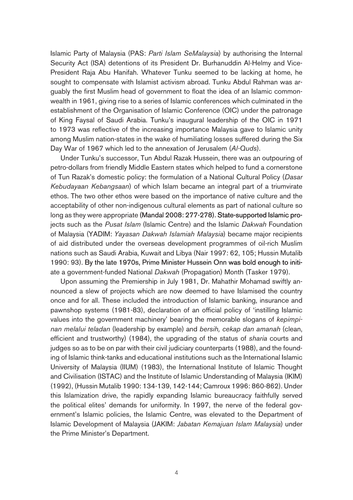Islamic Party of Malaysia (PAS: Parti Islam SeMalaysia) by authorising the Internal Security Act (ISA) detentions of its President Dr. Burhanuddin Al-Helmy and Vice-President Raja Abu Hanifah. Whatever Tunku seemed to be lacking at home, he sought to compensate with Islamist activism abroad. Tunku Abdul Rahman was arguably the first Muslim head of government to float the idea of an Islamic commonwealth in 1961, giving rise to a series of Islamic conferences which culminated in the establishment of the Organisation of Islamic Conference (OIC) under the patronage of King Faysal of Saudi Arabia. Tunku's inaugural leadership of the OIC in 1971 to 1973 was reflective of the increasing importance Malaysia gave to Islamic unity among Muslim nation-states in the wake of humiliating losses suffered during the Six Day War of 1967 which led to the annexation of Jerusalem (Al-Quds).

Under Tunku's successor, Tun Abdul Razak Hussein, there was an outpouring of petro-dollars from friendly Middle Eastern states which helped to fund a cornerstone of Tun Razak's domestic policy: the formulation of a National Cultural Policy (Dasar Kebudayaan Kebangsaan) of which Islam became an integral part of a triumvirate ethos. The two other ethos were based on the importance of native culture and the acceptability of other non-indigenous cultural elements as part of national culture so long as they were appropriate (Mandal 2008: 277-278). State-supported Islamic projects such as the Pusat Islam (Islamic Centre) and the Islamic Dakwah Foundation of Malaysia (YADIM: Yayasan Dakwah Islamiah Malaysia) became major recipients of aid distributed under the overseas development programmes of oil-rich Muslim nations such as Saudi Arabia, Kuwait and Libya (Nair 1997: 62, 105; Hussin Mutalib 1990: 93). By the late 1970s, Prime Minister Hussein Onn was bold enough to initiate a government-funded National Dakwah (Propagation) Month (Tasker 1979).

Upon assuming the Premiership in July 1981, Dr. Mahathir Mohamad swiftly announced a slew of projects which are now deemed to have Islamised the country once and for all. These included the introduction of Islamic banking, insurance and pawnshop systems (1981-83), declaration of an official policy of 'instilling Islamic values into the government machinery' bearing the memorable slogans of kepimpinan melalui teladan (leadership by example) and bersih, cekap dan amanah (clean, efficient and trustworthy) (1984), the upgrading of the status of sharia courts and judges so as to be on par with their civil judiciary counterparts (1988), and the founding of Islamic think-tanks and educational institutions such as the International Islamic University of Malaysia (IIUM) (1983), the International Institute of Islamic Thought and Civilisation (ISTAC) and the Institute of Islamic Understanding of Malaysia (IKIM) (1992), (Hussin Mutalib 1990: 134-139, 142-144; Camroux 1996: 860-862). Under this Islamization drive, the rapidly expanding Islamic bureaucracy faithfully served the political elites' demands for uniformity. In 1997, the nerve of the federal government's Islamic policies, the Islamic Centre, was elevated to the Department of Islamic Development of Malaysia (JAKIM: Jabatan Kemajuan Islam Malaysia) under the Prime Minister's Department.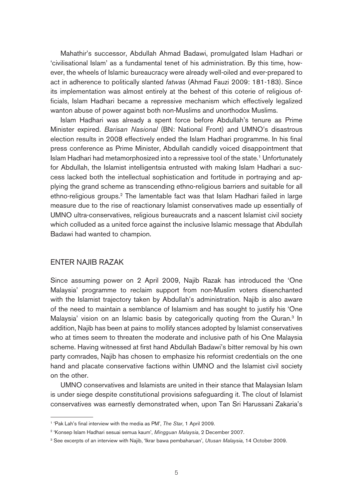Mahathir's successor, Abdullah Ahmad Badawi, promulgated Islam Hadhari or 'civilisational Islam' as a fundamental tenet of his administration. By this time, however, the wheels of Islamic bureaucracy were already well-oiled and ever-prepared to act in adherence to politically slanted fatwas (Ahmad Fauzi 2009: 181-183). Since its implementation was almost entirely at the behest of this coterie of religious officials, Islam Hadhari became a repressive mechanism which effectively legalized wanton abuse of power against both non-Muslims and unorthodox Muslims.

Islam Hadhari was already a spent force before Abdullah's tenure as Prime Minister expired. Barisan Nasional (BN: National Front) and UMNO's disastrous election results in 2008 effectively ended the Islam Hadhari programme. In his final press conference as Prime Minister, Abdullah candidly voiced disappointment that Islam Hadhari had metamorphosized into a repressive tool of the state.1 Unfortunately for Abdullah, the Islamist intelligentsia entrusted with making Islam Hadhari a success lacked both the intellectual sophistication and fortitude in portraying and applying the grand scheme as transcending ethno-religious barriers and suitable for all ethno-religious groups.<sup>2</sup> The lamentable fact was that Islam Hadhari failed in large measure due to the rise of reactionary Islamist conservatives made up essentially of UMNO ultra-conservatives, religious bureaucrats and a nascent Islamist civil society which colluded as a united force against the inclusive Islamic message that Abdullah Badawi had wanted to champion.

#### ENTER NAJIB RAZAK

Since assuming power on 2 April 2009, Najib Razak has introduced the 'One Malaysia' programme to reclaim support from non-Muslim voters disenchanted with the Islamist trajectory taken by Abdullah's administration. Najib is also aware of the need to maintain a semblance of Islamism and has sought to justify his 'One Malaysia' vision on an Islamic basis by categorically quoting from the Quran.<sup>3</sup> In addition, Najib has been at pains to mollify stances adopted by Islamist conservatives who at times seem to threaten the moderate and inclusive path of his One Malaysia scheme. Having witnessed at first hand Abdullah Badawi's bitter removal by his own party comrades, Najib has chosen to emphasize his reformist credentials on the one hand and placate conservative factions within UMNO and the Islamist civil society on the other.

UMNO conservatives and Islamists are united in their stance that Malaysian Islam is under siege despite constitutional provisions safeguarding it. The clout of Islamist conservatives was earnestly demonstrated when, upon Tan Sri Harussani Zakaria's

<sup>&</sup>lt;sup>1</sup> 'Pak Lah's final interview with the media as PM', The Star, 1 April 2009.

<sup>2 &#</sup>x27;Konsep Islam Hadhari sesuai semua kaum', Mingguan Malaysia, 2 December 2007.

<sup>&</sup>lt;sup>3</sup> See excerpts of an interview with Najib, 'Ikrar bawa pembaharuan', Utusan Malaysia, 14 October 2009.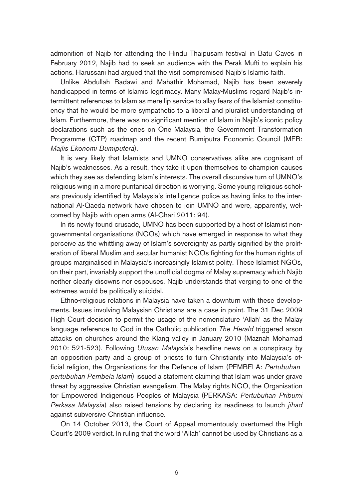admonition of Najib for attending the Hindu Thaipusam festival in Batu Caves in February 2012, Najib had to seek an audience with the Perak Mufti to explain his actions. Harussani had argued that the visit compromised Najib's Islamic faith.

Unlike Abdullah Badawi and Mahathir Mohamad, Najib has been severely handicapped in terms of Islamic legitimacy. Many Malay-Muslims regard Najib's intermittent references to Islam as mere lip service to allay fears of the Islamist constituency that he would be more sympathetic to a liberal and pluralist understanding of Islam. Furthermore, there was no significant mention of Islam in Najib's iconic policy declarations such as the ones on One Malaysia, the Government Transformation Programme (GTP) roadmap and the recent Bumiputra Economic Council (MEB: Majlis Ekonomi Bumiputera).

It is very likely that Islamists and UMNO conservatives alike are cognisant of Najib's weaknesses. As a result, they take it upon themselves to champion causes which they see as defending Islam's interests. The overall discursive turn of UMNO's religious wing in a more puritanical direction is worrying. Some young religious scholars previously identified by Malaysia's intelligence police as having links to the international Al-Qaeda network have chosen to join UMNO and were, apparently, welcomed by Najib with open arms (Al-Ghari 2011: 94).

In its newly found crusade, UMNO has been supported by a host of Islamist nongovernmental organisations (NGOs) which have emerged in response to what they perceive as the whittling away of Islam's sovereignty as partly signified by the proliferation of liberal Muslim and secular humanist NGOs fighting for the human rights of groups marginalised in Malaysia's increasingly Islamist polity. These Islamist NGOs, on their part, invariably support the unofficial dogma of Malay supremacy which Najib neither clearly disowns nor espouses. Najib understands that verging to one of the extremes would be politically suicidal.

Ethno-religious relations in Malaysia have taken a downturn with these developments. Issues involving Malaysian Christians are a case in point. The 31 Dec 2009 High Court decision to permit the usage of the nomenclature 'Allah' as the Malay language reference to God in the Catholic publication The Herald triggered arson attacks on churches around the Klang valley in January 2010 (Maznah Mohamad 2010: 521-523). Following Utusan Malaysia's headline news on a conspiracy by an opposition party and a group of priests to turn Christianity into Malaysia's official religion, the Organisations for the Defence of Islam (PEMBELA: Pertubuhanpertubuhan Pembela Islam) issued a statement claiming that Islam was under grave threat by aggressive Christian evangelism. The Malay rights NGO, the Organisation for Empowered Indigenous Peoples of Malaysia (PERKASA: Pertubuhan Pribumi Perkasa Malaysia) also raised tensions by declaring its readiness to launch jihad against subversive Christian influence.

On 14 October 2013, the Court of Appeal momentously overturned the High Court's 2009 verdict. In ruling that the word 'Allah' cannot be used by Christians as a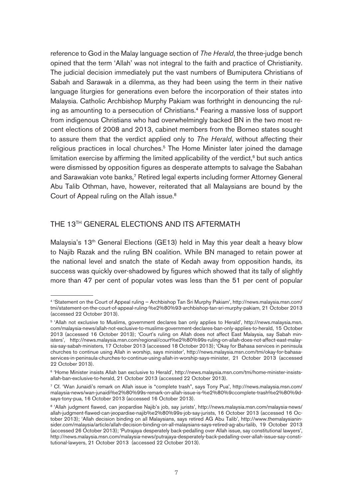reference to God in the Malay language section of The Herald, the three-judge bench opined that the term 'Allah' was not integral to the faith and practice of Christianity. The judicial decision immediately put the vast numbers of Bumiputera Christians of Sabah and Sarawak in a dilemma, as they had been using the term in their native language liturgies for generations even before the incorporation of their states into Malaysia. Catholic Archbishop Murphy Pakiam was forthright in denouncing the ruling as amounting to a persecution of Christians.4 Fearing a massive loss of support from indigenous Christians who had overwhelmingly backed BN in the two most recent elections of 2008 and 2013, cabinet members from the Borneo states sought to assure them that the verdict applied only to The Herald, without affecting their religious practices in local churches.<sup>5</sup> The Home Minister later joined the damage limitation exercise by affirming the limited applicability of the verdict, $6$  but such antics were dismissed by opposition figures as desperate attempts to salvage the Sabahan and Sarawakian vote banks,<sup>7</sup> Retired legal experts including former Attorney General Abu Talib Othman, have, however, reiterated that all Malaysians are bound by the Court of Appeal ruling on the Allah issue.8

#### THE 13TH GENERAL ELECTIONS AND ITS AFTERMATH

Malaysia's 13<sup>th</sup> General Elections (GE13) held in May this year dealt a heavy blow to Najib Razak and the ruling BN coalition. While BN managed to retain power at the national level and snatch the state of Kedah away from opposition hands, its success was quickly over-shadowed by figures which showed that its tally of slightly more than 47 per cent of popular votes was less than the 51 per cent of popular

<sup>4 &#</sup>x27;Statement on the Court of Appeal ruling — Archbishop Tan Sri Murphy Pakiam', http://news.malaysia.msn.com/ tmi/statement-on-the-court-of-appeal-ruling-%e2%80%93-archbishop-tan-sri-murphy-pakiam, 21 October 2013 (accessed 22 October 2013).

<sup>5 &#</sup>x27;Allah not exclusive to Muslims, government declares ban only applies to Herald', http://news.malaysia.msn. com/malaysia-news/allah-not-exclusive-to-muslims-government-declares-ban-only-applies-to-herald, 15 October 2013 (accessed 16 October 2013); 'Court's ruling on Allah does not affect East Malaysia, say Sabah ministers', http://news.malaysia.msn.com/regional/court%e2%80%99s-ruling-on-allah-does-not-affect-east-malaysia-say-sabah-ministers, 17 October 2013 (accessed 18 October 2013); 'Okay for Bahasa services in peninsula churches to continue using Allah in worship, says minister', http://news.malaysia.msn.com/tmi/okay-for-bahasaservices-in-peninsula-churches-to-continue-using-allah-in-worship-says-minister, 21 October 2013 (accessed 22 October 2013).

<sup>6 &#</sup>x27;Home Minister insists Allah ban exclusive to Herald', http://news.malaysia.msn.com/tmi/home-minister-insistsallah-ban-exclusive-to-herald, 21 October 2013 (accessed 22 October 2013).

<sup>7</sup> Cf. 'Wan Junaidi's remark on Allah issue is "complete trash", says Tony Pua', http://news.malaysia.msn.com/ malaysia-news/wan-junaidi%e2%80%99s-remark-on-allah-issue-is-%e2%80%9ccomplete-trash%e2%80%9dsays-tony-pua, 16 October 2013 (accessed 16 October 2013).

<sup>&</sup>lt;sup>8</sup> 'Allah judgment flawed, can jeopardise Najib's job, say jurists', http://news.malaysia.msn.com/malaysia-news/ allah-judgment-flawed-can-jeopardise-najib%e2%80%99s-job-say-jurists, 16 October 2013 (accessed 16 October 2013); 'Allah decision binding on all Malaysians, says retired AG Abu Talib', http://www.themalaysianinsider.com/malaysia/article/allah-decision-binding-on-all-malaysians-says-retired-ag-abu-talib, 19 October 2013 (accessed 26 October 2013); 'Putrajaya desperately back-pedalling over Allah issue, say constitutional lawyers', http://news.malaysia.msn.com/malaysia-news/putrajaya-desperately-back-pedalling-over-allah-issue-say-constitutional-lawyers, 21 October 2013 (accessed 22 October 2013).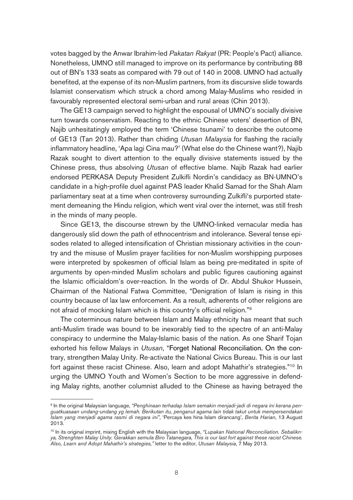votes bagged by the Anwar Ibrahim-led Pakatan Rakyat (PR: People's Pact) alliance. Nonetheless, UMNO still managed to improve on its performance by contributing 88 out of BN's 133 seats as compared with 79 out of 140 in 2008. UMNO had actually benefited, at the expense of its non-Muslim partners, from its discursive slide towards Islamist conservatism which struck a chord among Malay-Muslims who resided in favourably represented electoral semi-urban and rural areas (Chin 2013).

The GE13 campaign served to highlight the espousal of UMNO's socially divisive turn towards conservatism. Reacting to the ethnic Chinese voters' desertion of BN, Najib unhesitatingly employed the term 'Chinese tsunami' to describe the outcome of GE13 (Tan 2013). Rather than chiding Utusan Malaysia for flashing the racially inflammatory headline, 'Apa lagi Cina mau?' (What else do the Chinese want?), Najib Razak sought to divert attention to the equally divisive statements issued by the Chinese press, thus absolving Utusan of effective blame. Najib Razak had earlier endorsed PERKASA Deputy President Zulkifli Nordin's candidacy as BN-UMNO's candidate in a high-profile duel against PAS leader Khalid Samad for the Shah Alam parliamentary seat at a time when controversy surrounding Zulkifli's purported statement demeaning the Hindu religion, which went viral over the internet, was still fresh in the minds of many people.

Since GE13, the discourse strewn by the UMNO-linked vernacular media has dangerously slid down the path of ethnocentrism and intolerance. Several tense episodes related to alleged intensification of Christian missionary activities in the country and the misuse of Muslim prayer facilities for non-Muslim worshipping purposes were interpreted by spokesmen of official Islam as being pre-meditated in spite of arguments by open-minded Muslim scholars and public figures cautioning against the Islamic officialdom's over-reaction. In the words of Dr. Abdul Shukor Hussein, Chairman of the National Fatwa Committee, "Denigration of Islam is rising in this country because of lax law enforcement. As a result, adherents of other religions are not afraid of mocking Islam which is this country's official religion."9

The coterminous nature between Islam and Malay ethnicity has meant that such anti-Muslim tirade was bound to be inexorably tied to the spectre of an anti-Malay conspiracy to undermine the Malay-Islamic basis of the nation. As one Sharif Tojan exhorted his fellow Malays in Utusan, "Forget National Reconciliation. On the contrary, strengthen Malay Unity. Re-activate the National Civics Bureau. This is our last fort against these racist Chinese. Also, learn and adopt Mahathir's strategies."10 In urging the UMNO Youth and Women's Section to be more aggressive in defending Malay rights, another columnist alluded to the Chinese as having betrayed the

<sup>9</sup> In the original Malaysian language, "Penghinaan terhadap Islam semakin menjadi-jadi di negara ini kerana penguatkuasaan undang-undang yg lemah. Berikutan itu, penganut agama lain tidak takut untuk mempersendakan Islam yang menjadi agama rasmi di negara ini", 'Percaya kes hina Islam dirancang', Berita Harian, 13 August 2013.

<sup>&</sup>lt;sup>10</sup> In its original imprint, mixing English with the Malaysian language, "Lupakan National Reconciliation. Sebaliknya, Strenghten Malay Unity. Gerakkan semula Biro Tatanegara, This is our last fort against these racist Chinese. Also, Learn and Adopt Mahathir's strategies," letter to the editor, Utusan Malaysia, 7 May 2013.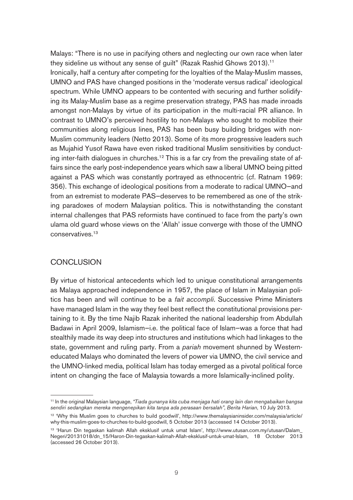Malays: "There is no use in pacifying others and neglecting our own race when later they sideline us without any sense of quilt" (Razak Rashid Ghows 2013).<sup>11</sup>

Ironically, half a century after competing for the loyalties of the Malay-Muslim masses, UMNO and PAS have changed positions in the 'moderate versus radical' ideological spectrum. While UMNO appears to be contented with securing and further solidifying its Malay-Muslim base as a regime preservation strategy, PAS has made inroads amongst non-Malays by virtue of its participation in the multi-racial PR alliance. In contrast to UMNO's perceived hostility to non-Malays who sought to mobilize their communities along religious lines, PAS has been busy building bridges with non-Muslim community leaders (Netto 2013). Some of its more progressive leaders such as Mujahid Yusof Rawa have even risked traditional Muslim sensitivities by conducting inter-faith dialogues in churches.<sup>12</sup> This is a far cry from the prevailing state of affairs since the early post-independence years which saw a liberal UMNO being pitted against a PAS which was constantly portrayed as ethnocentric (cf. Ratnam 1969: 356). This exchange of ideological positions from a moderate to radical UMNO—and from an extremist to moderate PAS—deserves to be remembered as one of the striking paradoxes of modern Malaysian politics. This is notwithstanding the constant internal challenges that PAS reformists have continued to face from the party's own ulama old guard whose views on the 'Allah' issue converge with those of the UMNO conservatives.13

### **CONCLUSION**

By virtue of historical antecedents which led to unique constitutional arrangements as Malaya approached independence in 1957, the place of Islam in Malaysian politics has been and will continue to be a *fait accompli*. Successive Prime Ministers have managed Islam in the way they feel best reflect the constitutional provisions pertaining to it. By the time Najib Razak inherited the national leadership from Abdullah Badawi in April 2009, Islamism—i.e. the political face of Islam—was a force that had stealthily made its way deep into structures and institutions which had linkages to the state, government and ruling party. From a pariah movement shunned by Westerneducated Malays who dominated the levers of power via UMNO, the civil service and the UMNO-linked media, political Islam has today emerged as a pivotal political force intent on changing the face of Malaysia towards a more Islamically-inclined polity.

<sup>11</sup> In the original Malaysian language, "Tiada gunanya kita cuba menjaga hati orang lain dan mengabaikan bangsa sendiri sedangkan mereka mengenepikan kita tanpa ada perasaan bersalah", Berita Harian, 10 July 2013.

<sup>&</sup>lt;sup>12</sup> 'Why this Muslim goes to churches to build goodwill', http://www.themalaysianinsider.com/malaysia/article/ why-this-muslim-goes-to-churches-to-build-goodwill, 5 October 2013 (accessed 14 October 2013).

<sup>13 &#</sup>x27;Harun Din tegaskan kalimah Allah eksklusif untuk umat Islam', http://www.utusan.com.my/utusan/Dalam\_ Negeri/20131018/dn\_15/Haron-Din-tegaskan-kalimah-Allah-eksklusif-untuk-umat-Islam, 18 October 2013 (accessed 26 October 2013).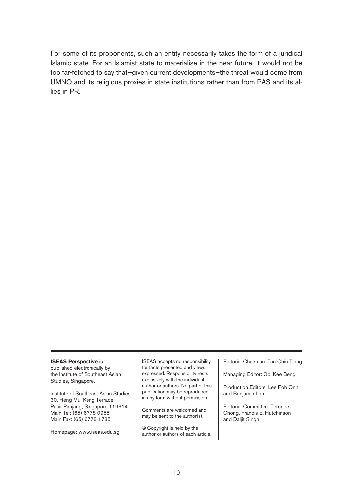For some of its proponents, such an entity necessarily takes the form of a juridical Islamic state. For an Islamist state to materialise in the near future, it would not be too far-fetched to say that—given current developments—the threat would come from UMNO and its religious proxies in state institutions rather than from PAS and its allies in PR.

#### **ISEAS Perspective** is

published electronically by the Institute of Southeast Asian Studies, Singapore.

Institute of Southeast Asian Studies 30, Heng Mui Keng Terrace Pasir Panjang, Singapore 119614 Main Tel: (65) 6778 0955 Main Fax: (65) 6778 1735

Homepage: www.iseas.edu.sg

ISEAS accepts no responsibility for facts presented and views expressed. Responsibility rests exclusively with the individual author or authors. No part of this publication may be reproduced in any form without permission.

Comments are welcomed and may be sent to the author(s).

© Copyright is held by the author or authors of each article. Editorial Chairman: Tan Chin Tiong

Managing Editor: Ooi Kee Beng

Production Editors: Lee Poh Onn and Benjamin Loh

Editorial Committee: Terence Chong, Francis E. Hutchinson and Daljit Singh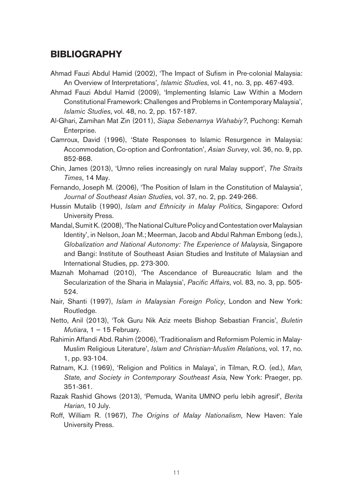## **BIBLIOGRAPHY**

- Ahmad Fauzi Abdul Hamid (2002), 'The Impact of Sufism in Pre-colonial Malaysia: An Overview of Interpretations', Islamic Studies, vol. 41, no. 3, pp. 467-493.
- Ahmad Fauzi Abdul Hamid (2009), 'Implementing Islamic Law Within a Modern Constitutional Framework: Challenges and Problems in Contemporary Malaysia', Islamic Studies, vol. 48, no. 2, pp. 157-187.
- Al-Ghari, Zamihan Mat Zin (2011), Siapa Sebenarnya Wahabiy?, Puchong: Kemah Enterprise.
- Camroux, David (1996), 'State Responses to Islamic Resurgence in Malaysia: Accommodation, Co-option and Confrontation', Asian Survey, vol. 36, no. 9, pp. 852-868.
- Chin, James (2013), 'Umno relies increasingly on rural Malay support', The Straits Times, 14 May.
- Fernando, Joseph M. (2006), 'The Position of Islam in the Constitution of Malaysia', Journal of Southeast Asian Studies, vol. 37, no. 2, pp. 249-266.
- Hussin Mutalib (1990), Islam and Ethnicity in Malay Politics, Singapore: Oxford University Press.
- Mandal, Sumit K. (2008), 'The National Culture Policy and Contestation over Malaysian Identity', in Nelson, Joan M.; Meerman, Jacob and Abdul Rahman Embong (eds.), Globalization and National Autonomy: The Experience of Malaysia, Singapore and Bangi: Institute of Southeast Asian Studies and Institute of Malaysian and International Studies, pp. 273-300.
- Maznah Mohamad (2010), 'The Ascendance of Bureaucratic Islam and the Secularization of the Sharia in Malaysia', Pacific Affairs, vol. 83, no. 3, pp. 505- 524.
- Nair, Shanti (1997), Islam in Malaysian Foreign Policy, London and New York: Routledge.
- Netto, Anil (2013), 'Tok Guru Nik Aziz meets Bishop Sebastian Francis', Buletin Mutiara,  $1 - 15$  February.
- Rahimin Affandi Abd. Rahim (2006), 'Traditionalism and Reformism Polemic in Malay-Muslim Religious Literature', Islam and Christian-Muslim Relations, vol. 17, no. 1, pp. 93-104.
- Ratnam, K.J. (1969), 'Religion and Politics in Malaya', in Tilman, R.O. (ed.), Man, State, and Society in Contemporary Southeast Asia, New York: Praeger, pp. 351-361.
- Razak Rashid Ghows (2013), 'Pemuda, Wanita UMNO perlu lebih agresif', Berita Harian, 10 July.
- Roff, William R. (1967), The Origins of Malay Nationalism, New Haven: Yale University Press.